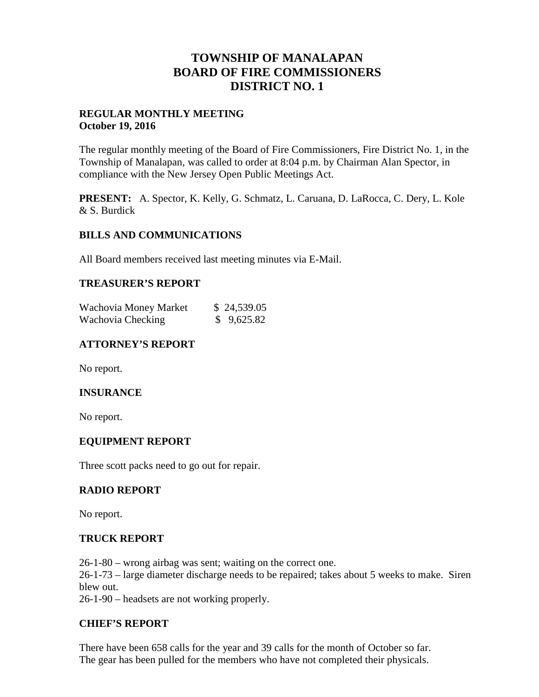## **TOWNSHIP OF MANALAPAN BOARD OF FIRE COMMISSIONERS DISTRICT NO. 1**

### **REGULAR MONTHLY MEETING October 19, 2016**

The regular monthly meeting of the Board of Fire Commissioners, Fire District No. 1, in the Township of Manalapan, was called to order at 8:04 p.m. by Chairman Alan Spector, in compliance with the New Jersey Open Public Meetings Act.

**PRESENT:** A. Spector, K. Kelly, G. Schmatz, L. Caruana, D. LaRocca, C. Dery, L. Kole & S. Burdick

## **BILLS AND COMMUNICATIONS**

All Board members received last meeting minutes via E-Mail.

#### **TREASURER'S REPORT**

| Wachovia Money Market | \$24,539.05 |
|-----------------------|-------------|
| Wachovia Checking     | \$9,625.82  |

## **ATTORNEY'S REPORT**

No report.

#### **INSURANCE**

No report.

#### **EQUIPMENT REPORT**

Three scott packs need to go out for repair.

#### **RADIO REPORT**

No report.

#### **TRUCK REPORT**

26-1-80 – wrong airbag was sent; waiting on the correct one.

26-1-73 – large diameter discharge needs to be repaired; takes about 5 weeks to make. Siren blew out.

26-1-90 – headsets are not working properly.

#### **CHIEF'S REPORT**

There have been 658 calls for the year and 39 calls for the month of October so far. The gear has been pulled for the members who have not completed their physicals.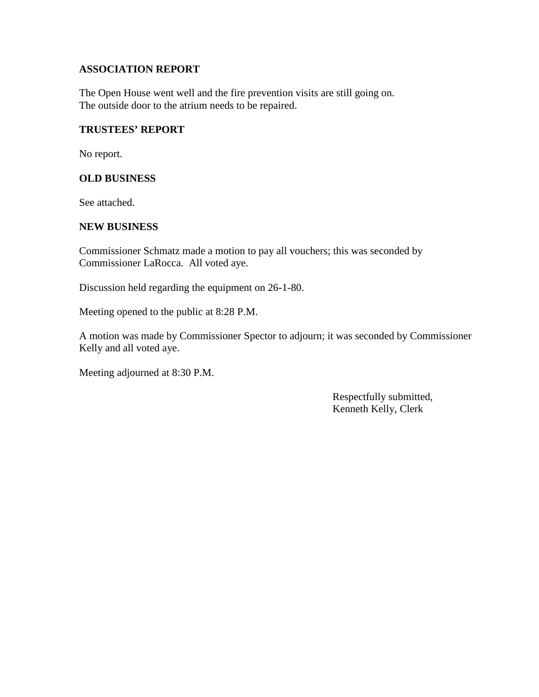## **ASSOCIATION REPORT**

The Open House went well and the fire prevention visits are still going on. The outside door to the atrium needs to be repaired.

#### **TRUSTEES' REPORT**

No report.

#### **OLD BUSINESS**

See attached.

#### **NEW BUSINESS**

Commissioner Schmatz made a motion to pay all vouchers; this was seconded by Commissioner LaRocca. All voted aye.

Discussion held regarding the equipment on 26-1-80.

Meeting opened to the public at 8:28 P.M.

A motion was made by Commissioner Spector to adjourn; it was seconded by Commissioner Kelly and all voted aye.

Meeting adjourned at 8:30 P.M.

Respectfully submitted, Kenneth Kelly, Clerk